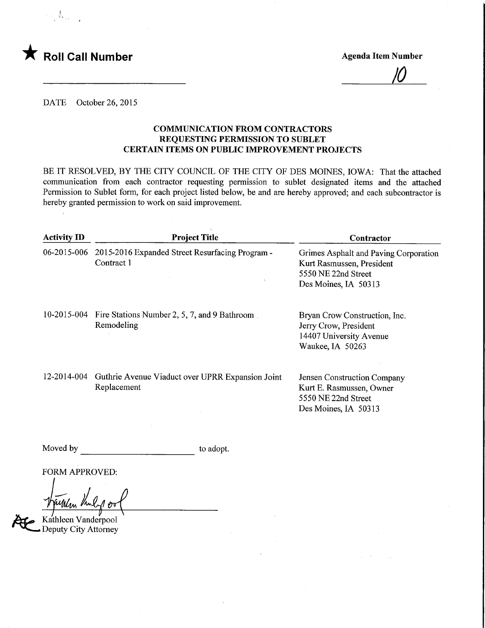$\label{eq:1} \gamma_{\rm eff} = \frac{1}{\sqrt{2}} \sum_{\rm jet} \gamma_{\rm eff} \, \gamma_{\rm eff} \, .$ 



 $\overline{\mathcal{O}}$ 

DATE October 26, 2015

### COMMUNICATION FROM CONTRACTORS REQUESTING PERMISSION TO SUBLET CERTAIN ITEMS ON PUBLIC IMPROVEMENT PROJECTS

BE IT RESOLVED, BY THE CITY COUNCIL OF THE CITY OF DES MOINES, IOWA: That the attached communication from each contractor requesting permission to sublet designated items and the attached Permission to Sublet form, for each project listed below, be and are hereby approved; and each subcontractor is hereby granted permission to work on said improvement.

| <b>Activity ID</b> | <b>Project Title</b>                                                   | Contractor                                                                                                        |
|--------------------|------------------------------------------------------------------------|-------------------------------------------------------------------------------------------------------------------|
| 06-2015-006        | 2015-2016 Expanded Street Resurfacing Program -<br>Contract 1          | Grimes Asphalt and Paving Corporation<br>Kurt Rasmussen, President<br>5550 NE 22nd Street<br>Des Moines, IA 50313 |
|                    | 10-2015-004 Fire Stations Number 2, 5, 7, and 9 Bathroom<br>Remodeling | Bryan Crow Construction, Inc.<br>Jerry Crow, President<br>14407 University Avenue<br>Waukee, IA 50263             |
| 12-2014-004        | Guthrie Avenue Viaduct over UPRR Expansion Joint<br>Replacement        | <b>Jensen Construction Company</b><br>Kurt E. Rasmussen, Owner<br>5550 NE 22nd Street<br>Des Moines, IA 50313     |

Moved by to adopt.

FORM APPROVED:

/ ∂ਾ

Kathleen Vanderpool Deputy City Attorney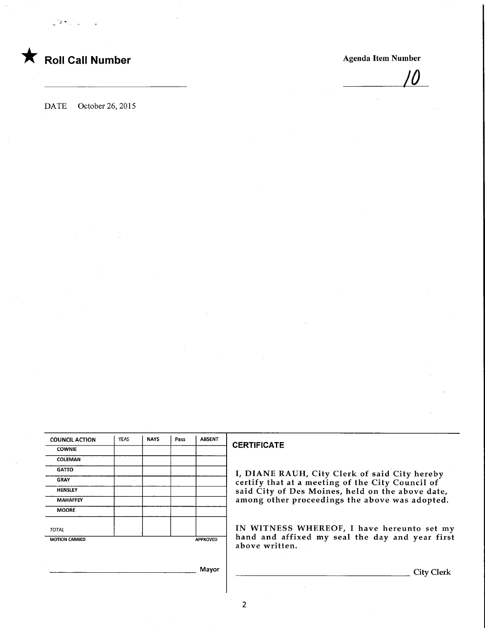

J0\_

DATE October 26, 2015

| <b>COUNCIL ACTION</b> | <b>YEAS</b> | <b>NAYS</b> | Pass            | <b>ABSENT</b> |
|-----------------------|-------------|-------------|-----------------|---------------|
| <b>COWNIE</b>         |             |             |                 |               |
| COLEMAN               |             |             |                 |               |
| <b>GATTO</b>          |             |             |                 |               |
| <b>GRAY</b>           |             |             |                 |               |
| <b>HENSLEY</b>        |             |             |                 |               |
| <b>MAHAFFEY</b>       |             |             |                 |               |
| <b>MOORE</b>          |             |             |                 |               |
| <b>TOTAL</b>          |             |             |                 |               |
| <b>MOTION CARRIED</b> |             |             | <b>APPROVED</b> |               |

#### **CERTIFICATE**

I, DIANE RAUH, City Clerk of said City hereby certify that at a meeting of the City Council of said City of Des Moines, held on the above date, among other proceedings the above was adopted.

IN WITNESS WHEREOF, I have hereunto set my hand and affixed my seal the day and year first above written.

Mayor

\_ City Clerk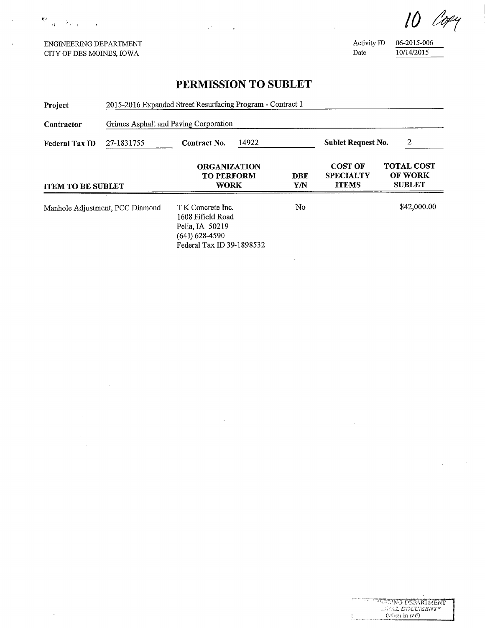ENGINEERING DEPARTMENT Activity ID 06-2015-006<br>CITY OF DES MOINES, IOWA Date 10/14/2015 CITY OF DES MOINES, IOWA

 $\sim$   $\sim$ 

 $\mathfrak{P}_{\mathbb{Z}_{\geq 0}} \to_{\mathbb{Z}_{\geq 0}}$ 

 $\eta_{\rho\mu}$ 

 $\alpha$ 

''4ERING DEPARTMENT<br>...: *i: i: L DOCUMENT"* (vaen in red)

# PERMISSION TO SUBLET

 $\mu$ 

 $\sim$ 

| Project                         | 2015-2016 Expanded Street Resurfacing Program - Contract 1 |                                                                                                              |                   |                                                    |                                                      |
|---------------------------------|------------------------------------------------------------|--------------------------------------------------------------------------------------------------------------|-------------------|----------------------------------------------------|------------------------------------------------------|
| Contractor                      | Grimes Asphalt and Paving Corporation                      |                                                                                                              |                   |                                                    |                                                      |
| Federal Tax ID                  | 14922<br><b>Contract No.</b><br>27-1831755                 |                                                                                                              |                   | <b>Sublet Request No.</b>                          | 2                                                    |
| <b>ITEM TO BE SUBLET</b>        |                                                            | <b>ORGANIZATION</b><br><b>TO PERFORM</b><br><b>WORK</b>                                                      | <b>DBE</b><br>Y/N | <b>COST OF</b><br><b>SPECIALTY</b><br><b>ITEMS</b> | <b>TOTAL COST</b><br><b>OF WORK</b><br><b>SUBLET</b> |
| Manhole Adjustment, PCC Diamond |                                                            | T K Concrete Inc.<br>1608 Fifield Road<br>Pella, IA 50219<br>$(641) 628 - 4590$<br>Federal Tax ID 39-1898532 | No                |                                                    | \$42,000.00                                          |

 $\bar{z}$ 

 $\bar{z}$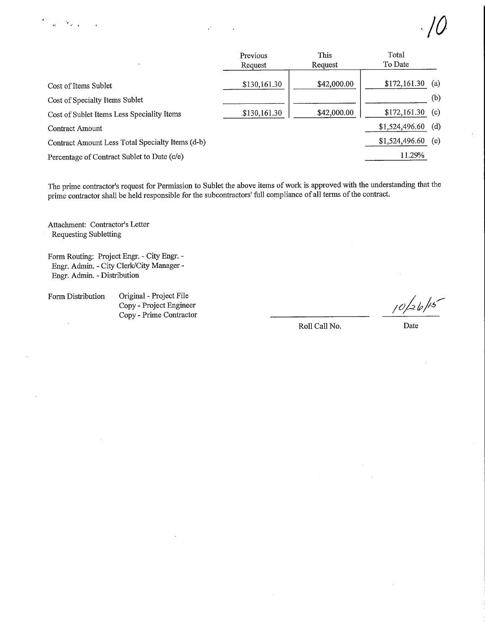.10

| $\ddot{\phantom{1}}$                             | Previous<br>Request | This<br>Request | Total<br>To Date  |     |
|--------------------------------------------------|---------------------|-----------------|-------------------|-----|
| Cost of Items Sublet                             | \$130,161.30        | \$42,000.00     | \$172,161.30      | (a) |
| Cost of Specialty Items Sublet                   |                     |                 |                   | (b) |
| Cost of Sublet Items Less Speciality Items       | \$130,161.30        | \$42,000.00     | $$172,161.30$ (c) |     |
| Contract Amount                                  |                     |                 | \$1,524,496.60    | (d) |
| Contract Amount Less Total Specialty Items (d-b) |                     |                 | \$1,524,496.60    | (e) |
| Percentage of Contract Sublet to Date (c/e)      |                     |                 | 11.29%            |     |

The prime contractor's request for Permission to Sublet the above items of work is approved with the understanding that the prime contractor shall be held responsible for the subcontractors' full compliance of all terms of the contract.

Attachment: Contractor's Letter Requesting Subletting

Fonn Routing: Project Engr. - City Engr. - Engr. Admin. - City Clerk/City Manager - Engr. Admin. - Distribution

Form Distribution Original - Project File Copy - Project Engineer Original - Project File<br>Copy - Project Engineer<br>Copy - Prime Contractor *(0) - 16<sup>15</sup>* 

Roll Call No. Date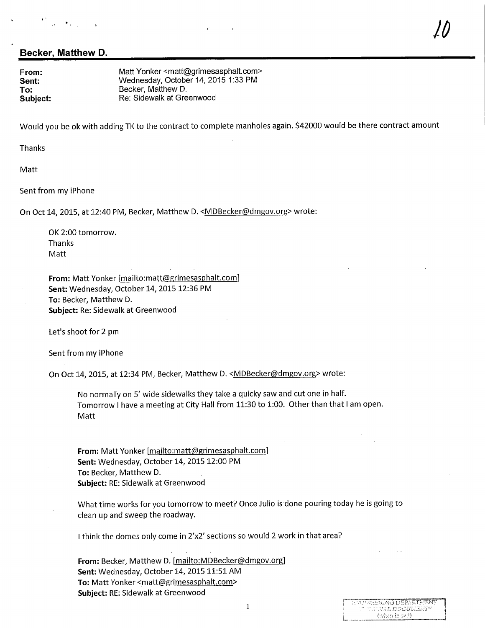

# Becker, Matthew D.

From: Matt Yonker <matt@grimesasphalt.com><br>
Sent: Wednesday, October 14, 2015 1:33 PM Wednesday, October 14, 2015 1:33 PM To: Becker, Matthew D.<br>
Subiect: Re: Sidewalk at Gre Re: Sidewalk at Greenwood

Would you be ok with adding TK to the contract to complete manholes again. \$42000 would be there contract amount

Thanks

Matt

Sent from my iPhone

On Oct 14, 2015, at 12:40 PM, Becker, Matthew D. <MDBecker@dmgov.org> wrote:

OK 2:00 tomorrow. Thanks Matt

From: Matt Yonker [mailto:matt@grimesasphalt.com] Sent: Wednesday, October 14, 2015 12:36 PM To: Becker, Matthew D. Subject: Re: Sidewalk at Greenwood

Let's shoot for 2 pm

Sent from my iPhone

On Oct 14, 2015, at 12:34 PM, Becker, Matthew D. <MDBecker@dmgov.org> wrote:

No normally on 5' wide sidewalks they take a quicky saw and cut one in half. Tomorrow I have a meeting at City Hall from 11:30 to 1:00. Other than that I am open. Matt

From: Matt Yonker [mailto:matt@grimesasphalt.com] Sent: Wednesday, October 14, 2015 12:00 PM To: Becker, Matthew D. Subject: RE: Sidewalk at Greenwood

What time works for you tomorrow to meet? Once Julio is done pouring today he is going to clean up and sweep the roadway.

I think the domes only come in 2'x2' sections so would 2 work in that area?

From: Becker, Matthew D. [mailto:MDBecker@dmgov.org] Sent: Wednesday, October 14, 2015 11:51 AM To: Matt Yonker <matt@grimesasphalt.com> Subject: RE: Sidewalk at Greenwood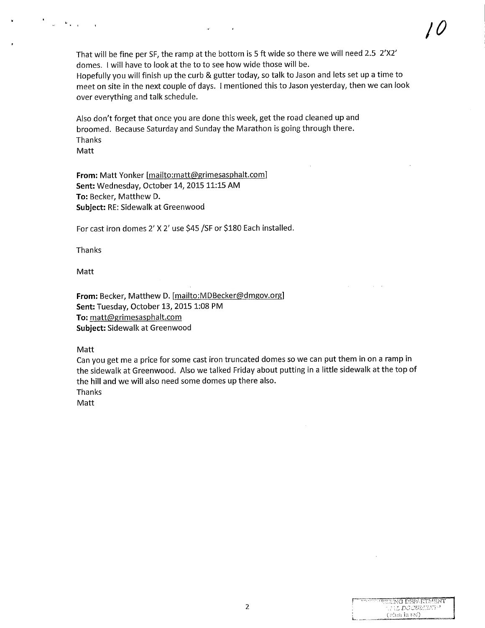That will be fine per SF, the ramp at the bottom is 5 ft wide so there we will need 2.5 2'X2' domes. I will have to look at the to to see how wide those will be. Hopefully you will finish up the curb & gutter today, so talk to Jason and lets set up a time to meet on site in the next couple of days. 1 mentioned this to Jason yesterday, then we can look over everything and talk schedule.

Also don't forget that once you are done this week, get the road cleaned up and broomed. Because Saturday and Sunday the Marathon is going through there. Thanks

 $\alpha^2$ 

Matt

 $\omega_{\rm eff}$  , where  $\omega_{\rm eff}$ 

From: Matt Yonker [mailto:matt@grimesasphalt.com] Sent: Wednesday, October 14, 2015 11:15 AM To: Becker, Matthew D. Subject: RE: Sidewalk at Greenwood

For cast iron domes 2' X 2' use \$45 /SF or \$180 Each installed.

Thanks

Matt

From: Becker, Matthew D. [mailto:MDBecker@dmgov.org] Sent: Tuesday, October 13, 2015 1:08 PM To: matt@grimesasphalt.com Subject: Sidewalk at Greenwood

Matt

Can you get me a price for some cast iron truncated domes so we can put them in on a ramp in the sidewalk at Greenwood. Also we talked Friday about putting in a little sidewalk at the top of the hill and we will also need some domes up there also. Thanks

Matt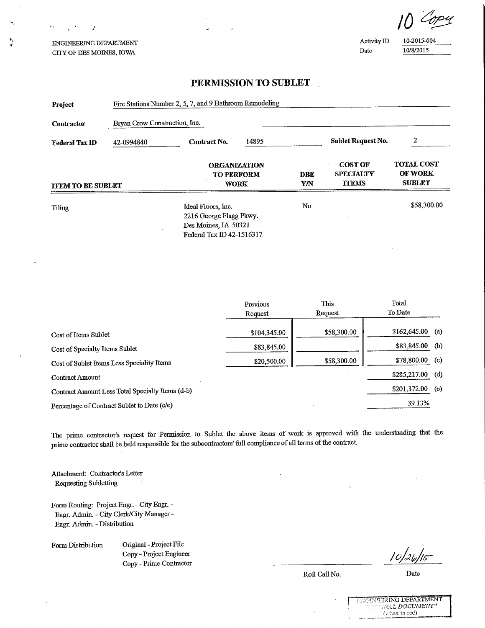ENGINEERING DEPAKTMENT CITY OF DES MOINES, IOWA

J.

 $\ddot{\phantom{a}}$ 

 $\beta$  .

l^'^i

Activity ID  $\frac{10-2015-004}{10/8/2015}$ 

10/8/2015

#### PERMISSION TO SUBLET

| Project                  | Fire Stations Number 2, 5, 7, and 9 Bathroom Remodeling |                                                                                                    |  |                           |                                                    |                                                      |
|--------------------------|---------------------------------------------------------|----------------------------------------------------------------------------------------------------|--|---------------------------|----------------------------------------------------|------------------------------------------------------|
| <b>Contractor</b>        | Bryan Crow Construction, Inc.                           |                                                                                                    |  |                           |                                                    |                                                      |
| Federal Tax ID           | 42-0994840                                              | 14895<br>Contract No.                                                                              |  | <b>Sublet Request No.</b> | 2                                                  |                                                      |
| <b>ITEM TO BE SUBLET</b> |                                                         | <b>ORGANIZATION</b><br><b>TO PERFORM</b><br><b>WORK</b>                                            |  | <b>DBE</b><br>Y/N         | <b>COST OF</b><br><b>SPECIALTY</b><br><b>TTEMS</b> | <b>TOTAL COST</b><br><b>OF WORK</b><br><b>SUBLET</b> |
| Tiling                   |                                                         | Ideal Floors, Inc.<br>2216 George Flagg Pkwy.<br>Des Moines, IA 50321<br>Federal Tax ID 42-1516317 |  | No                        |                                                    | \$58,300.00                                          |

|                                                  | Previous<br>Request | <b>This</b><br>Request | Total<br>To Date |     |
|--------------------------------------------------|---------------------|------------------------|------------------|-----|
| Cost of Items Sublet                             | \$104,345.00        | \$58,300.00            | \$162,645.00     | (a) |
| Cost of Specialty Items Sublet                   | \$83,845.00         |                        | \$83,845.00      | (b) |
| Cost of Sublet Items Less Speciality Items       | \$20,500.00         | \$58,300.00            | \$78,800.00      | (c) |
| Contract Amount                                  |                     | $\ddot{\phantom{1}}$   | \$285,217.00     | (d) |
| Contract Amount Less Total Specialty Items (d-b) |                     |                        | \$201,372.00     | (e) |
| Percentage of Contract Sublet to Date (c/e)      |                     |                        | 39.13%           |     |

The prime contractor's request for Permission to Sublet the above items of work is approved with the understanding fliat fhe prime contractor shall be held responsible for the subcontractors' full compliance of all terms of the contract.

Attachment: Contractor's Letter Requesting Subletting

Form Routing: Project Engr. - City Engr. -Engr. Admin. - City CIerk/Cify Manager - Engr. Admin. - Distribution

Form. Distribution Original - Project File Copy - Project Engineer Copy - Project Engineer<br>
Copy - Prime Contractor<br>  $\frac{10}{\lambda}$ 

Roll Call No. Date

**TAGERING DEFARTMENT** (when in red)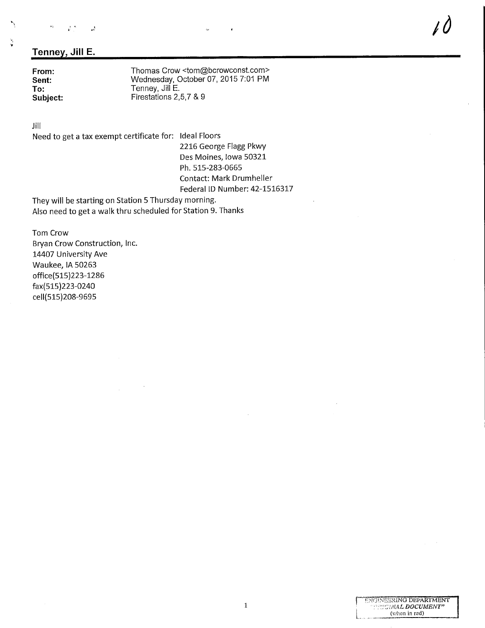### Tenney, Jill E.

From: Thomas Crow <tom@bcrowconst.com><br>Sent: Wednesday, October 07, 2015 7:01 PM Sent:<br>
Sent: Wednesday, October 07, 2015 7:01 PM<br>
To: Tenney, Jill E. To:<br>
To: Tenney, Jill E.<br>
Subject: Firestations 2, Firestations 2,5,7 & 9

Jill

ě,

Need to get a tax exempt certificate for: Ideal Floors

2216 George Flagg Pkwy Des Moines, Iowa 50321 Ph. 515-283-0665 Contact: Mark Drumheller Federal ID Number: 42-1516317

They will be starting on Station 5 Thursday morning. Also need to get a walk thru scheduled for Station 9.Thanks

Tom Crow Bryan Crow Construction, Inc. 14407 University Ave Waukee, IA 50263 office(515)223-1286 fax(515)223-0240 cell(515)208-9695